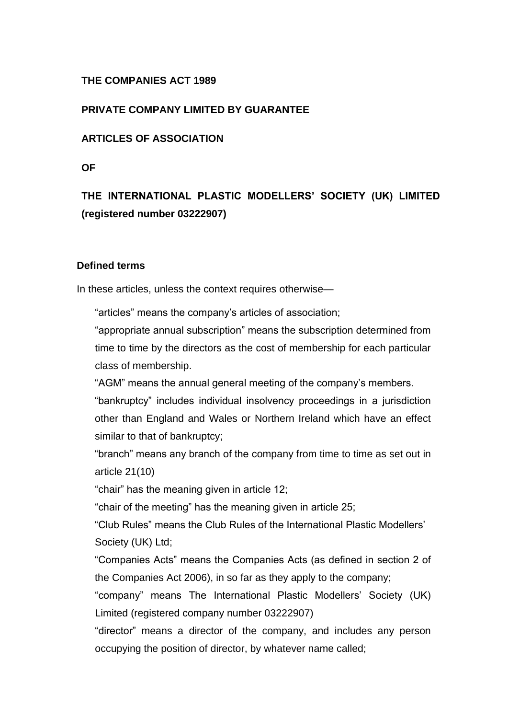# **THE COMPANIES ACT 1989**

## **PRIVATE COMPANY LIMITED BY GUARANTEE**

# **ARTICLES OF ASSOCIATION**

**OF**

# **THE INTERNATIONAL PLASTIC MODELLERS' SOCIETY (UK) LIMITED (registered number 03222907)**

#### **Defined terms**

In these articles, unless the context requires otherwise—

"articles" means the company's articles of association;

"appropriate annual subscription" means the subscription determined from time to time by the directors as the cost of membership for each particular class of membership.

"AGM" means the annual general meeting of the company's members.

"bankruptcy" includes individual insolvency proceedings in a jurisdiction other than England and Wales or Northern Ireland which have an effect similar to that of bankruptcy;

"branch" means any branch of the company from time to time as set out in article 21(10)

"chair" has the meaning given in article 12;

"chair of the meeting" has the meaning given in article 25;

"Club Rules" means the Club Rules of the International Plastic Modellers' Society (UK) Ltd;

"Companies Acts" means the Companies Acts (as defined in section 2 of the Companies Act 2006), in so far as they apply to the company;

"company" means The International Plastic Modellers' Society (UK) Limited (registered company number 03222907)

"director" means a director of the company, and includes any person occupying the position of director, by whatever name called;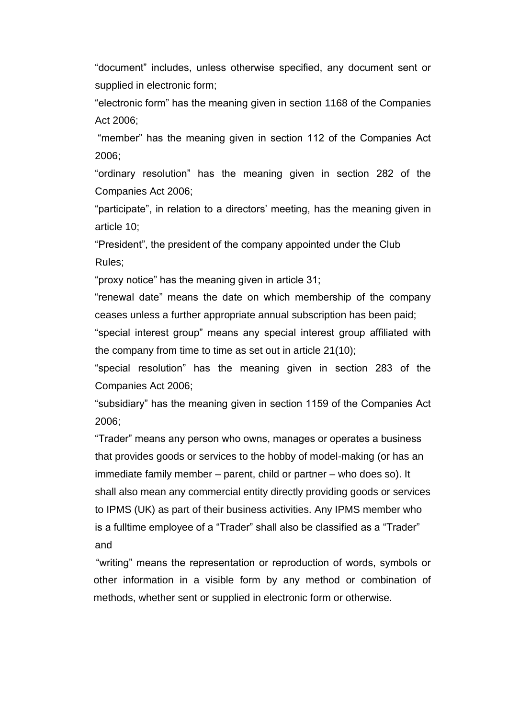"document" includes, unless otherwise specified, any document sent or supplied in electronic form;

"electronic form" has the meaning given in section 1168 of the Companies Act 2006;

"member" has the meaning given in section 112 of the Companies Act 2006;

"ordinary resolution" has the meaning given in section 282 of the Companies Act 2006;

"participate", in relation to a directors' meeting, has the meaning given in article 10;

"President", the president of the company appointed under the Club Rules;

"proxy notice" has the meaning given in article 31;

"renewal date" means the date on which membership of the company ceases unless a further appropriate annual subscription has been paid;

"special interest group" means any special interest group affiliated with the company from time to time as set out in article 21(10);

"special resolution" has the meaning given in section 283 of the Companies Act 2006;

"subsidiary" has the meaning given in section 1159 of the Companies Act 2006;

"Trader" means any person who owns, manages or operates a business that provides goods or services to the hobby of model-making (or has an immediate family member – parent, child or partner – who does so). It shall also mean any commercial entity directly providing goods or services to IPMS (UK) as part of their business activities. Any IPMS member who is a fulltime employee of a "Trader" shall also be classified as a "Trader" and

"writing" means the representation or reproduction of words, symbols or other information in a visible form by any method or combination of methods, whether sent or supplied in electronic form or otherwise.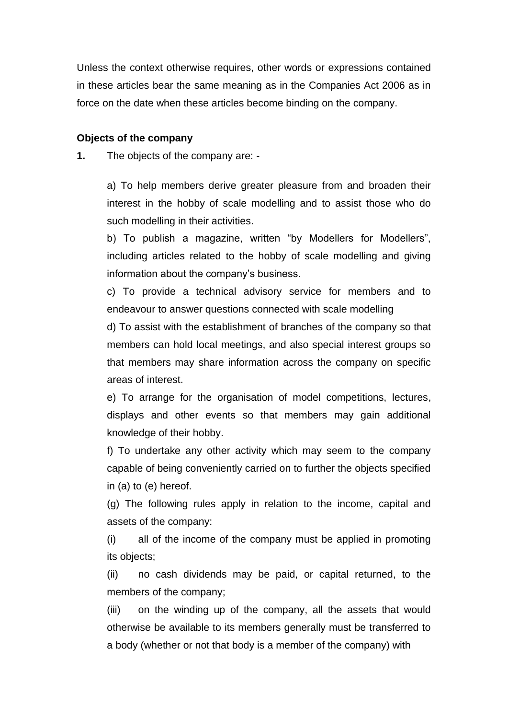Unless the context otherwise requires, other words or expressions contained in these articles bear the same meaning as in the Companies Act 2006 as in force on the date when these articles become binding on the company.

#### **Objects of the company**

**1.** The objects of the company are: -

a) To help members derive greater pleasure from and broaden their interest in the hobby of scale modelling and to assist those who do such modelling in their activities.

b) To publish a magazine, written "by Modellers for Modellers", including articles related to the hobby of scale modelling and giving information about the company's business.

c) To provide a technical advisory service for members and to endeavour to answer questions connected with scale modelling

d) To assist with the establishment of branches of the company so that members can hold local meetings, and also special interest groups so that members may share information across the company on specific areas of interest.

e) To arrange for the organisation of model competitions, lectures, displays and other events so that members may gain additional knowledge of their hobby.

f) To undertake any other activity which may seem to the company capable of being conveniently carried on to further the objects specified in (a) to (e) hereof.

(g) The following rules apply in relation to the income, capital and assets of the company:

(i) all of the income of the company must be applied in promoting its objects;

(ii) no cash dividends may be paid, or capital returned, to the members of the company;

(iii) on the winding up of the company, all the assets that would otherwise be available to its members generally must be transferred to a body (whether or not that body is a member of the company) with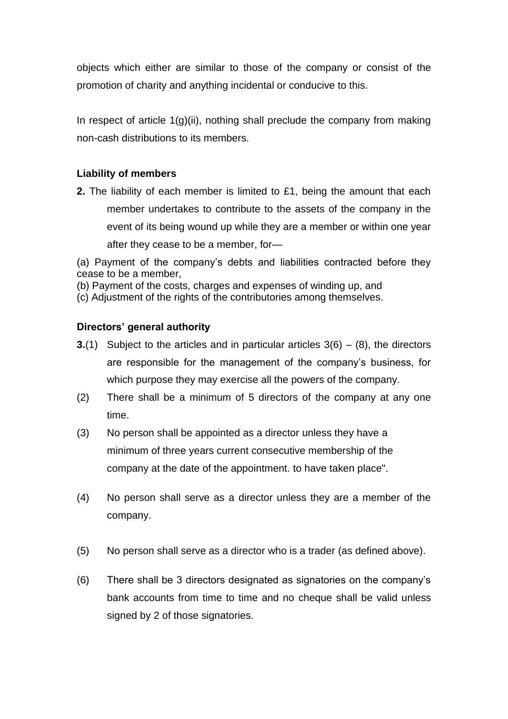objects which either are similar to those of the company or consist of the promotion of charity and anything incidental or conducive to this.

In respect of article  $1(g)(ii)$ , nothing shall preclude the company from making non-cash distributions to its members.

# **Liability of members**

**2.** The liability of each member is limited to £1, being the amount that each member undertakes to contribute to the assets of the company in the event of its being wound up while they are a member or within one year after they cease to be a member, for—

(a) Payment of the company's debts and liabilities contracted before they cease to be a member,

(b) Payment of the costs, charges and expenses of winding up, and

(c) Adjustment of the rights of the contributories among themselves.

# **Directors' general authority**

- **3.**(1) Subject to the articles and in particular articles 3(6) (8), the directors are responsible for the management of the company's business, for which purpose they may exercise all the powers of the company.
- (2) There shall be a minimum of 5 directors of the company at any one time.
- (3) No person shall be appointed as a director unless they have a minimum of three years current consecutive membership of the company at the date of the appointment. to have taken place".
- (4) No person shall serve as a director unless they are a member of the company.
- (5) No person shall serve as a director who is a trader (as defined above).
- (6) There shall be 3 directors designated as signatories on the company's bank accounts from time to time and no cheque shall be valid unless signed by 2 of those signatories.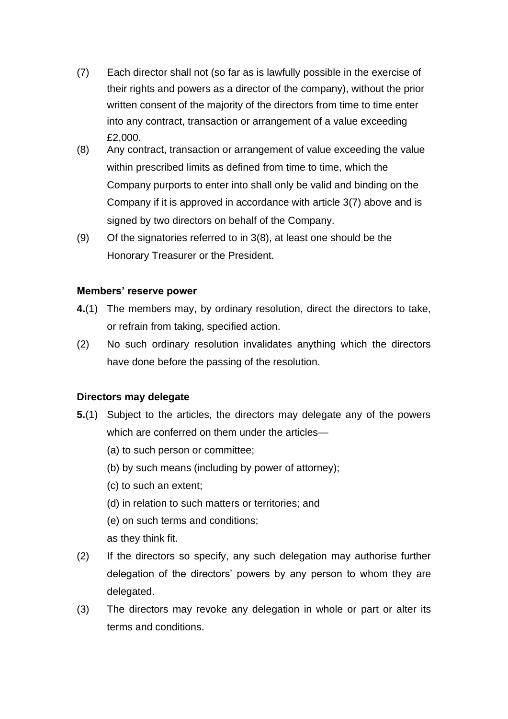- (7) Each director shall not (so far as is lawfully possible in the exercise of their rights and powers as a director of the company), without the prior written consent of the majority of the directors from time to time enter into any contract, transaction or arrangement of a value exceeding £2,000.
- (8) Any contract, transaction or arrangement of value exceeding the value within prescribed limits as defined from time to time, which the Company purports to enter into shall only be valid and binding on the Company if it is approved in accordance with article 3(7) above and is signed by two directors on behalf of the Company.
- (9) Of the signatories referred to in 3(8), at least one should be the Honorary Treasurer or the President.

#### **Members' reserve power**

- **4.**(1) The members may, by ordinary resolution, direct the directors to take, or refrain from taking, specified action.
- (2) No such ordinary resolution invalidates anything which the directors have done before the passing of the resolution.

# **Directors may delegate**

- **5.**(1) Subject to the articles, the directors may delegate any of the powers which are conferred on them under the articles—
	- (a) to such person or committee;
	- (b) by such means (including by power of attorney);
	- (c) to such an extent;
	- (d) in relation to such matters or territories; and
	- (e) on such terms and conditions;
	- as they think fit.
- (2) If the directors so specify, any such delegation may authorise further delegation of the directors' powers by any person to whom they are delegated.
- (3) The directors may revoke any delegation in whole or part or alter its terms and conditions.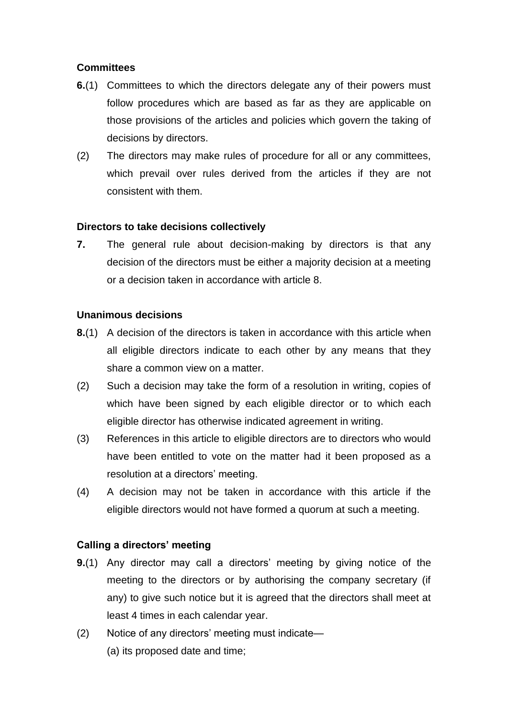# **Committees**

- **6.**(1) Committees to which the directors delegate any of their powers must follow procedures which are based as far as they are applicable on those provisions of the articles and policies which govern the taking of decisions by directors.
- (2) The directors may make rules of procedure for all or any committees, which prevail over rules derived from the articles if they are not consistent with them.

# **Directors to take decisions collectively**

**7.** The general rule about decision-making by directors is that any decision of the directors must be either a majority decision at a meeting or a decision taken in accordance with article 8.

# **Unanimous decisions**

- **8.**(1) A decision of the directors is taken in accordance with this article when all eligible directors indicate to each other by any means that they share a common view on a matter.
- (2) Such a decision may take the form of a resolution in writing, copies of which have been signed by each eligible director or to which each eligible director has otherwise indicated agreement in writing.
- (3) References in this article to eligible directors are to directors who would have been entitled to vote on the matter had it been proposed as a resolution at a directors' meeting.
- (4) A decision may not be taken in accordance with this article if the eligible directors would not have formed a quorum at such a meeting.

# **Calling a directors' meeting**

- **9.**(1) Any director may call a directors' meeting by giving notice of the meeting to the directors or by authorising the company secretary (if any) to give such notice but it is agreed that the directors shall meet at least 4 times in each calendar year.
- (2) Notice of any directors' meeting must indicate— (a) its proposed date and time;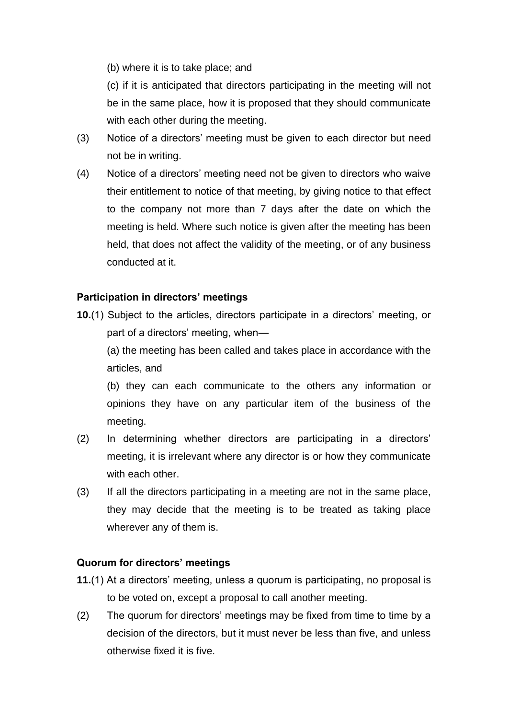(b) where it is to take place; and

(c) if it is anticipated that directors participating in the meeting will not be in the same place, how it is proposed that they should communicate with each other during the meeting.

- (3) Notice of a directors' meeting must be given to each director but need not be in writing.
- (4) Notice of a directors' meeting need not be given to directors who waive their entitlement to notice of that meeting, by giving notice to that effect to the company not more than 7 days after the date on which the meeting is held. Where such notice is given after the meeting has been held, that does not affect the validity of the meeting, or of any business conducted at it.

# **Participation in directors' meetings**

**10.**(1) Subject to the articles, directors participate in a directors' meeting, or part of a directors' meeting, when—

(a) the meeting has been called and takes place in accordance with the articles, and

(b) they can each communicate to the others any information or opinions they have on any particular item of the business of the meeting.

- (2) In determining whether directors are participating in a directors' meeting, it is irrelevant where any director is or how they communicate with each other.
- (3) If all the directors participating in a meeting are not in the same place, they may decide that the meeting is to be treated as taking place wherever any of them is.

#### **Quorum for directors' meetings**

- **11.**(1) At a directors' meeting, unless a quorum is participating, no proposal is to be voted on, except a proposal to call another meeting.
- (2) The quorum for directors' meetings may be fixed from time to time by a decision of the directors, but it must never be less than five, and unless otherwise fixed it is five.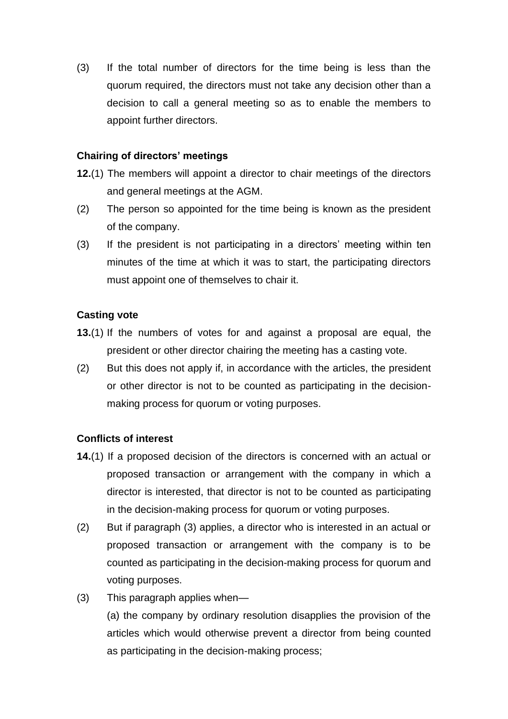(3) If the total number of directors for the time being is less than the quorum required, the directors must not take any decision other than a decision to call a general meeting so as to enable the members to appoint further directors.

# **Chairing of directors' meetings**

- **12.**(1) The members will appoint a director to chair meetings of the directors and general meetings at the AGM.
- (2) The person so appointed for the time being is known as the president of the company.
- (3) If the president is not participating in a directors' meeting within ten minutes of the time at which it was to start, the participating directors must appoint one of themselves to chair it.

# **Casting vote**

- **13.**(1) If the numbers of votes for and against a proposal are equal, the president or other director chairing the meeting has a casting vote.
- (2) But this does not apply if, in accordance with the articles, the president or other director is not to be counted as participating in the decisionmaking process for quorum or voting purposes.

# **Conflicts of interest**

- **14.**(1) If a proposed decision of the directors is concerned with an actual or proposed transaction or arrangement with the company in which a director is interested, that director is not to be counted as participating in the decision-making process for quorum or voting purposes.
- (2) But if paragraph (3) applies, a director who is interested in an actual or proposed transaction or arrangement with the company is to be counted as participating in the decision-making process for quorum and voting purposes.
- (3) This paragraph applies when—

(a) the company by ordinary resolution disapplies the provision of the articles which would otherwise prevent a director from being counted as participating in the decision-making process;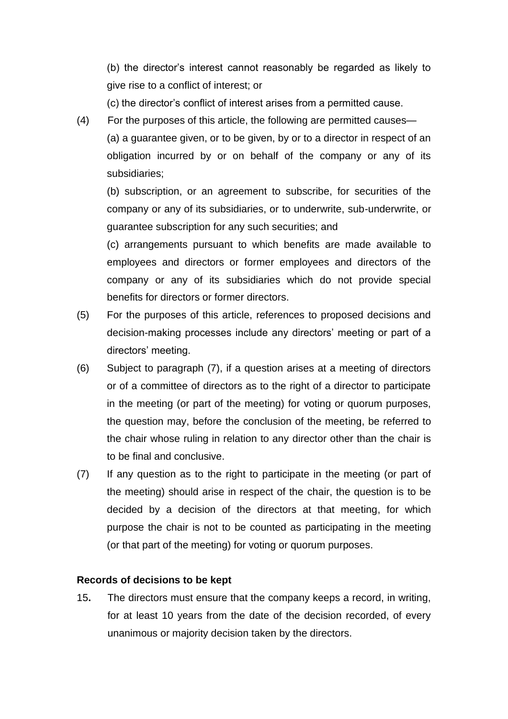(b) the director's interest cannot reasonably be regarded as likely to give rise to a conflict of interest; or

(c) the director's conflict of interest arises from a permitted cause.

(4) For the purposes of this article, the following are permitted causes—

(a) a guarantee given, or to be given, by or to a director in respect of an obligation incurred by or on behalf of the company or any of its subsidiaries;

(b) subscription, or an agreement to subscribe, for securities of the company or any of its subsidiaries, or to underwrite, sub-underwrite, or guarantee subscription for any such securities; and

(c) arrangements pursuant to which benefits are made available to employees and directors or former employees and directors of the company or any of its subsidiaries which do not provide special benefits for directors or former directors.

- (5) For the purposes of this article, references to proposed decisions and decision-making processes include any directors' meeting or part of a directors' meeting.
- (6) Subject to paragraph (7), if a question arises at a meeting of directors or of a committee of directors as to the right of a director to participate in the meeting (or part of the meeting) for voting or quorum purposes, the question may, before the conclusion of the meeting, be referred to the chair whose ruling in relation to any director other than the chair is to be final and conclusive.
- (7) If any question as to the right to participate in the meeting (or part of the meeting) should arise in respect of the chair, the question is to be decided by a decision of the directors at that meeting, for which purpose the chair is not to be counted as participating in the meeting (or that part of the meeting) for voting or quorum purposes.

#### **Records of decisions to be kept**

15**.** The directors must ensure that the company keeps a record, in writing, for at least 10 years from the date of the decision recorded, of every unanimous or majority decision taken by the directors.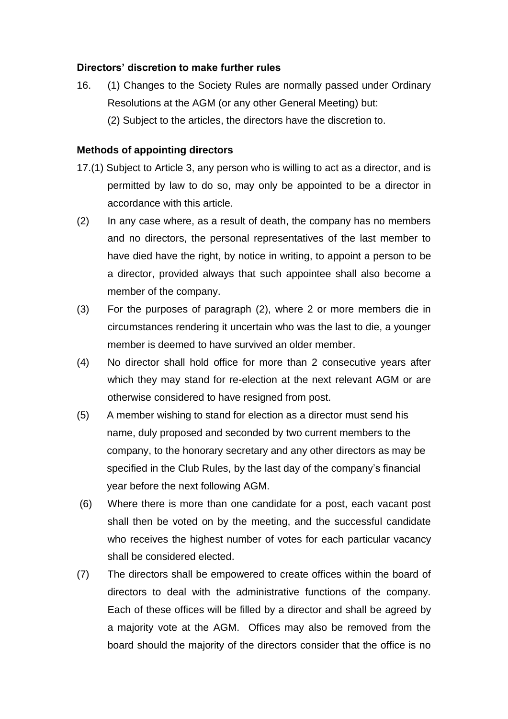# **Directors' discretion to make further rules**

16. (1) Changes to the Society Rules are normally passed under Ordinary Resolutions at the AGM (or any other General Meeting) but: (2) Subject to the articles, the directors have the discretion to.

## **Methods of appointing directors**

- 17.(1) Subject to Article 3, any person who is willing to act as a director, and is permitted by law to do so, may only be appointed to be a director in accordance with this article.
- (2) In any case where, as a result of death, the company has no members and no directors, the personal representatives of the last member to have died have the right, by notice in writing, to appoint a person to be a director, provided always that such appointee shall also become a member of the company.
- (3) For the purposes of paragraph (2), where 2 or more members die in circumstances rendering it uncertain who was the last to die, a younger member is deemed to have survived an older member.
- (4) No director shall hold office for more than 2 consecutive years after which they may stand for re-election at the next relevant AGM or are otherwise considered to have resigned from post.
- (5) A member wishing to stand for election as a director must send his name, duly proposed and seconded by two current members to the company, to the honorary secretary and any other directors as may be specified in the Club Rules, by the last day of the company's financial year before the next following AGM.
- (6) Where there is more than one candidate for a post, each vacant post shall then be voted on by the meeting, and the successful candidate who receives the highest number of votes for each particular vacancy shall be considered elected.
- (7) The directors shall be empowered to create offices within the board of directors to deal with the administrative functions of the company. Each of these offices will be filled by a director and shall be agreed by a majority vote at the AGM. Offices may also be removed from the board should the majority of the directors consider that the office is no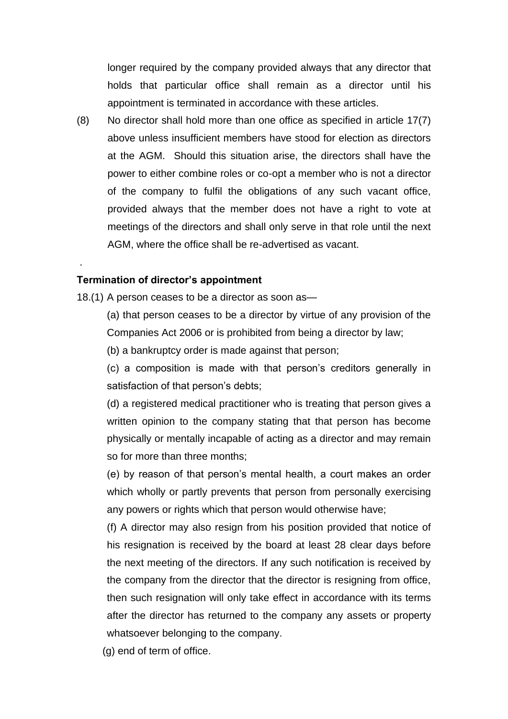longer required by the company provided always that any director that holds that particular office shall remain as a director until his appointment is terminated in accordance with these articles.

(8) No director shall hold more than one office as specified in article 17(7) above unless insufficient members have stood for election as directors at the AGM. Should this situation arise, the directors shall have the power to either combine roles or co-opt a member who is not a director of the company to fulfil the obligations of any such vacant office, provided always that the member does not have a right to vote at meetings of the directors and shall only serve in that role until the next AGM, where the office shall be re-advertised as vacant.

#### **Termination of director's appointment**

.

18.(1) A person ceases to be a director as soon as—

(a) that person ceases to be a director by virtue of any provision of the Companies Act 2006 or is prohibited from being a director by law;

(b) a bankruptcy order is made against that person;

(c) a composition is made with that person's creditors generally in satisfaction of that person's debts;

(d) a registered medical practitioner who is treating that person gives a written opinion to the company stating that that person has become physically or mentally incapable of acting as a director and may remain so for more than three months;

(e) by reason of that person's mental health, a court makes an order which wholly or partly prevents that person from personally exercising any powers or rights which that person would otherwise have;

(f) A director may also resign from his position provided that notice of his resignation is received by the board at least 28 clear days before the next meeting of the directors. If any such notification is received by the company from the director that the director is resigning from office, then such resignation will only take effect in accordance with its terms after the director has returned to the company any assets or property whatsoever belonging to the company.

(g) end of term of office.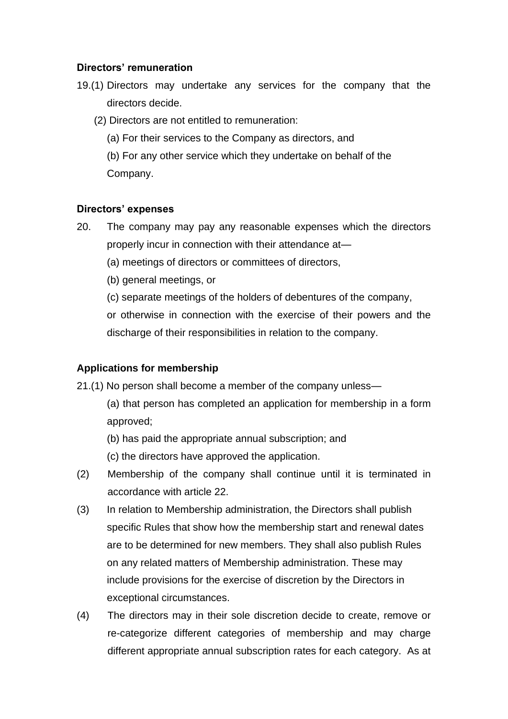# **Directors' remuneration**

- 19.(1) Directors may undertake any services for the company that the directors decide.
	- (2) Directors are not entitled to remuneration:
		- (a) For their services to the Company as directors, and
		- (b) For any other service which they undertake on behalf of the Company.

#### **Directors' expenses**

- 20. The company may pay any reasonable expenses which the directors properly incur in connection with their attendance at—
	- (a) meetings of directors or committees of directors,
	- (b) general meetings, or
	- (c) separate meetings of the holders of debentures of the company,

or otherwise in connection with the exercise of their powers and the discharge of their responsibilities in relation to the company.

# **Applications for membership**

21.(1) No person shall become a member of the company unless—

- (a) that person has completed an application for membership in a form approved;
- (b) has paid the appropriate annual subscription; and
- (c) the directors have approved the application.
- (2) Membership of the company shall continue until it is terminated in accordance with article 22.
- (3) In relation to Membership administration, the Directors shall publish specific Rules that show how the membership start and renewal dates are to be determined for new members. They shall also publish Rules on any related matters of Membership administration. These may include provisions for the exercise of discretion by the Directors in exceptional circumstances.
- (4) The directors may in their sole discretion decide to create, remove or re-categorize different categories of membership and may charge different appropriate annual subscription rates for each category. As at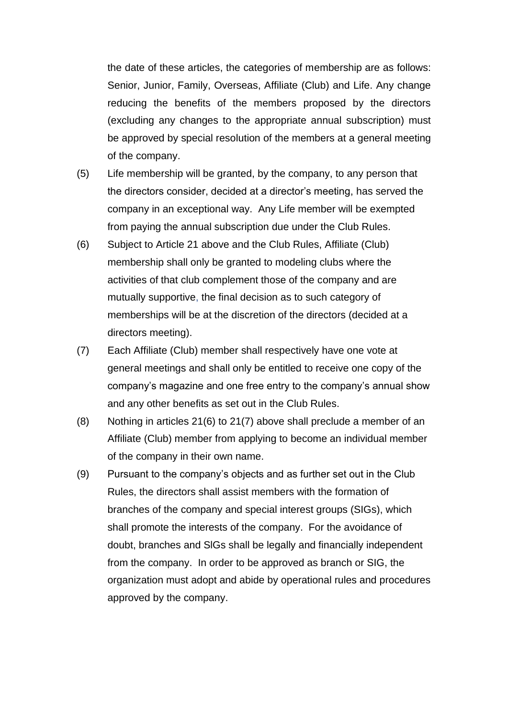the date of these articles, the categories of membership are as follows: Senior, Junior, Family, Overseas, Affiliate (Club) and Life. Any change reducing the benefits of the members proposed by the directors (excluding any changes to the appropriate annual subscription) must be approved by special resolution of the members at a general meeting of the company.

- (5) Life membership will be granted, by the company, to any person that the directors consider, decided at a director's meeting, has served the company in an exceptional way. Any Life member will be exempted from paying the annual subscription due under the Club Rules.
- (6) Subject to Article 21 above and the Club Rules, Affiliate (Club) membership shall only be granted to modeling clubs where the activities of that club complement those of the company and are mutually supportive, the final decision as to such category of memberships will be at the discretion of the directors (decided at a directors meeting).
- (7) Each Affiliate (Club) member shall respectively have one vote at general meetings and shall only be entitled to receive one copy of the company's magazine and one free entry to the company's annual show and any other benefits as set out in the Club Rules.
- (8) Nothing in articles 21(6) to 21(7) above shall preclude a member of an Affiliate (Club) member from applying to become an individual member of the company in their own name.
- (9) Pursuant to the company's objects and as further set out in the Club Rules, the directors shall assist members with the formation of branches of the company and special interest groups (SIGs), which shall promote the interests of the company. For the avoidance of doubt, branches and SlGs shall be legally and financially independent from the company. In order to be approved as branch or SIG, the organization must adopt and abide by operational rules and procedures approved by the company.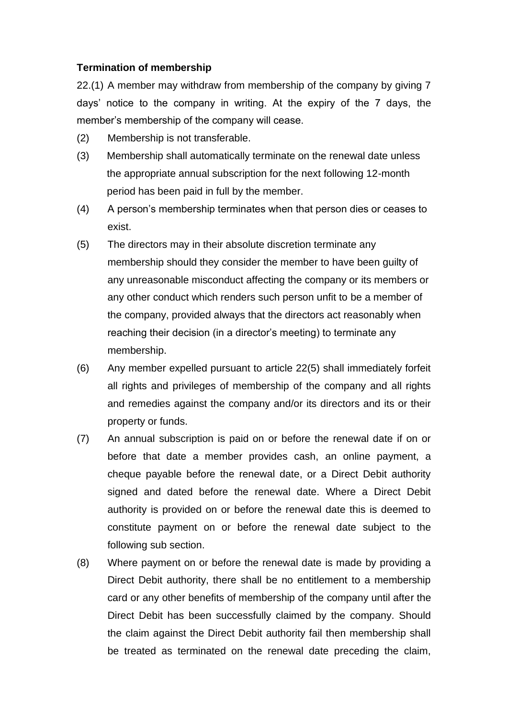# **Termination of membership**

22.(1) A member may withdraw from membership of the company by giving 7 days' notice to the company in writing. At the expiry of the 7 days, the member's membership of the company will cease.

- (2) Membership is not transferable.
- (3) Membership shall automatically terminate on the renewal date unless the appropriate annual subscription for the next following 12-month period has been paid in full by the member.
- (4) A person's membership terminates when that person dies or ceases to exist.
- (5) The directors may in their absolute discretion terminate any membership should they consider the member to have been guilty of any unreasonable misconduct affecting the company or its members or any other conduct which renders such person unfit to be a member of the company, provided always that the directors act reasonably when reaching their decision (in a director's meeting) to terminate any membership.
- (6) Any member expelled pursuant to article 22(5) shall immediately forfeit all rights and privileges of membership of the company and all rights and remedies against the company and/or its directors and its or their property or funds.
- (7) An annual subscription is paid on or before the renewal date if on or before that date a member provides cash, an online payment, a cheque payable before the renewal date, or a Direct Debit authority signed and dated before the renewal date. Where a Direct Debit authority is provided on or before the renewal date this is deemed to constitute payment on or before the renewal date subject to the following sub section.
- (8) Where payment on or before the renewal date is made by providing a Direct Debit authority, there shall be no entitlement to a membership card or any other benefits of membership of the company until after the Direct Debit has been successfully claimed by the company. Should the claim against the Direct Debit authority fail then membership shall be treated as terminated on the renewal date preceding the claim,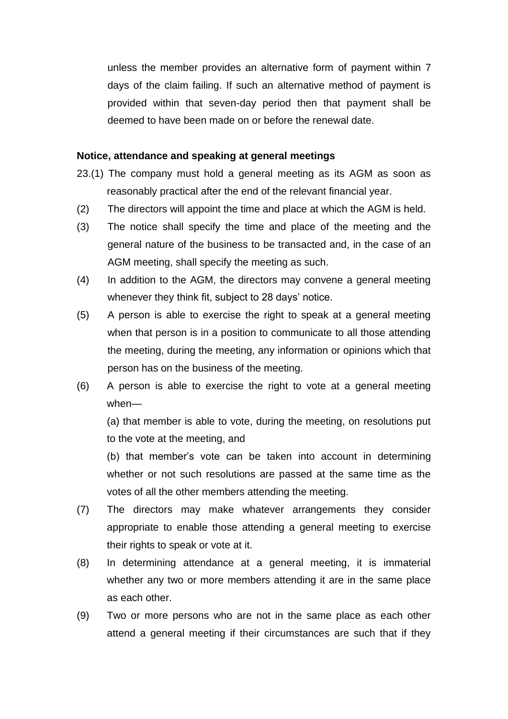unless the member provides an alternative form of payment within 7 days of the claim failing. If such an alternative method of payment is provided within that seven-day period then that payment shall be deemed to have been made on or before the renewal date.

#### **Notice, attendance and speaking at general meetings**

- 23.(1) The company must hold a general meeting as its AGM as soon as reasonably practical after the end of the relevant financial year.
- (2) The directors will appoint the time and place at which the AGM is held.
- (3) The notice shall specify the time and place of the meeting and the general nature of the business to be transacted and, in the case of an AGM meeting, shall specify the meeting as such.
- (4) In addition to the AGM, the directors may convene a general meeting whenever they think fit, subject to 28 days' notice.
- (5) A person is able to exercise the right to speak at a general meeting when that person is in a position to communicate to all those attending the meeting, during the meeting, any information or opinions which that person has on the business of the meeting.
- (6) A person is able to exercise the right to vote at a general meeting when—

(a) that member is able to vote, during the meeting, on resolutions put to the vote at the meeting, and

(b) that member's vote can be taken into account in determining whether or not such resolutions are passed at the same time as the votes of all the other members attending the meeting.

- (7) The directors may make whatever arrangements they consider appropriate to enable those attending a general meeting to exercise their rights to speak or vote at it.
- (8) In determining attendance at a general meeting, it is immaterial whether any two or more members attending it are in the same place as each other.
- (9) Two or more persons who are not in the same place as each other attend a general meeting if their circumstances are such that if they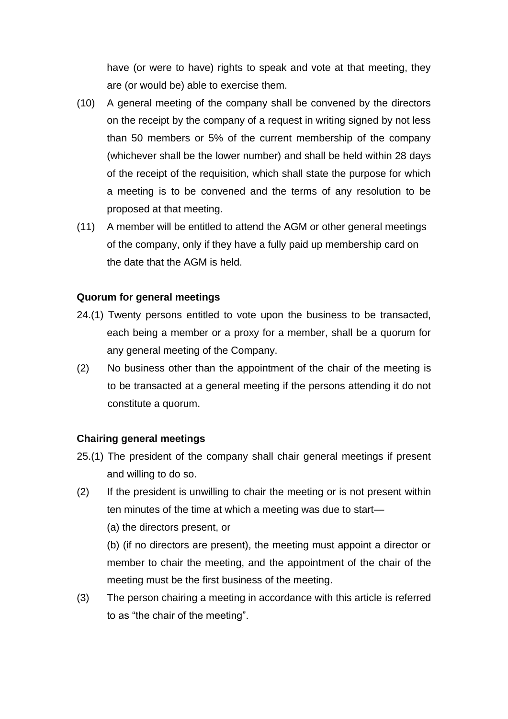have (or were to have) rights to speak and vote at that meeting, they are (or would be) able to exercise them.

- (10) A general meeting of the company shall be convened by the directors on the receipt by the company of a request in writing signed by not less than 50 members or 5% of the current membership of the company (whichever shall be the lower number) and shall be held within 28 days of the receipt of the requisition, which shall state the purpose for which a meeting is to be convened and the terms of any resolution to be proposed at that meeting.
- (11) A member will be entitled to attend the AGM or other general meetings of the company, only if they have a fully paid up membership card on the date that the AGM is held.

#### **Quorum for general meetings**

- 24.(1) Twenty persons entitled to vote upon the business to be transacted, each being a member or a proxy for a member, shall be a quorum for any general meeting of the Company.
- (2) No business other than the appointment of the chair of the meeting is to be transacted at a general meeting if the persons attending it do not constitute a quorum.

#### **Chairing general meetings**

- 25.(1) The president of the company shall chair general meetings if present and willing to do so.
- (2) If the president is unwilling to chair the meeting or is not present within ten minutes of the time at which a meeting was due to start—

(a) the directors present, or

(b) (if no directors are present), the meeting must appoint a director or member to chair the meeting, and the appointment of the chair of the meeting must be the first business of the meeting.

(3) The person chairing a meeting in accordance with this article is referred to as "the chair of the meeting".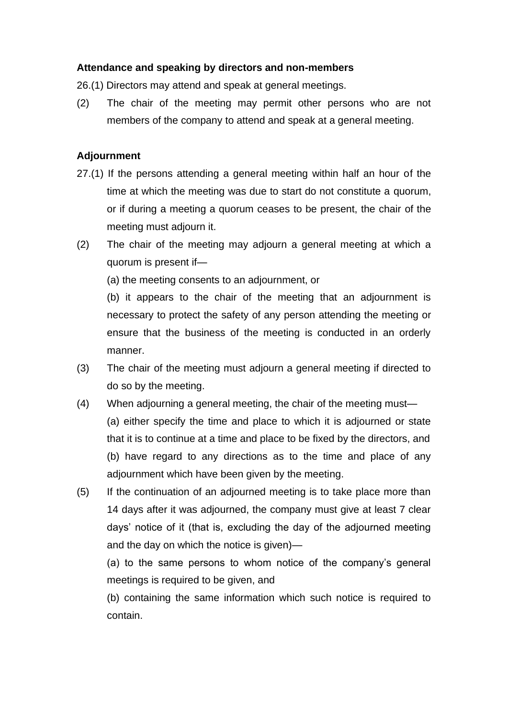# **Attendance and speaking by directors and non-members**

26.(1) Directors may attend and speak at general meetings.

(2) The chair of the meeting may permit other persons who are not members of the company to attend and speak at a general meeting.

#### **Adjournment**

- 27.(1) If the persons attending a general meeting within half an hour of the time at which the meeting was due to start do not constitute a quorum, or if during a meeting a quorum ceases to be present, the chair of the meeting must adjourn it.
- (2) The chair of the meeting may adjourn a general meeting at which a quorum is present if—

(a) the meeting consents to an adjournment, or

(b) it appears to the chair of the meeting that an adjournment is necessary to protect the safety of any person attending the meeting or ensure that the business of the meeting is conducted in an orderly manner.

- (3) The chair of the meeting must adjourn a general meeting if directed to do so by the meeting.
- (4) When adjourning a general meeting, the chair of the meeting must— (a) either specify the time and place to which it is adjourned or state that it is to continue at a time and place to be fixed by the directors, and (b) have regard to any directions as to the time and place of any adjournment which have been given by the meeting.
- (5) If the continuation of an adjourned meeting is to take place more than 14 days after it was adjourned, the company must give at least 7 clear days' notice of it (that is, excluding the day of the adjourned meeting and the day on which the notice is given)—

(a) to the same persons to whom notice of the company's general meetings is required to be given, and

(b) containing the same information which such notice is required to contain.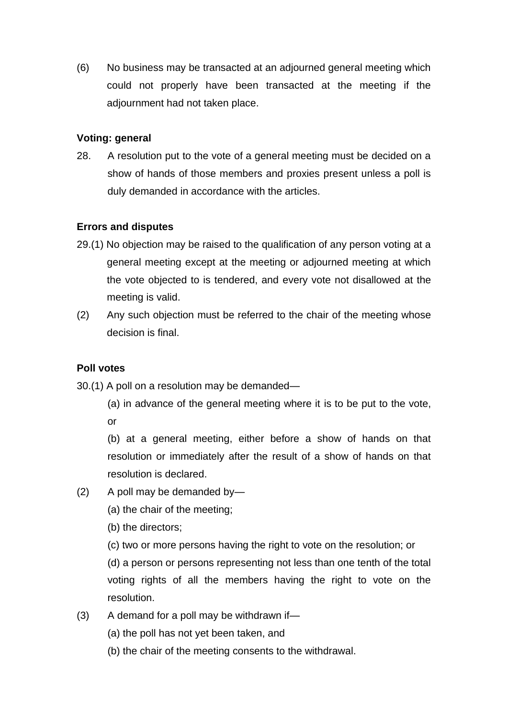(6) No business may be transacted at an adjourned general meeting which could not properly have been transacted at the meeting if the adjournment had not taken place.

# **Voting: general**

28. A resolution put to the vote of a general meeting must be decided on a show of hands of those members and proxies present unless a poll is duly demanded in accordance with the articles.

# **Errors and disputes**

- 29.(1) No objection may be raised to the qualification of any person voting at a general meeting except at the meeting or adjourned meeting at which the vote objected to is tendered, and every vote not disallowed at the meeting is valid.
- (2) Any such objection must be referred to the chair of the meeting whose decision is final.

# **Poll votes**

30.(1) A poll on a resolution may be demanded—

(a) in advance of the general meeting where it is to be put to the vote, or

(b) at a general meeting, either before a show of hands on that resolution or immediately after the result of a show of hands on that resolution is declared.

- (2) A poll may be demanded by—
	- (a) the chair of the meeting;
	- (b) the directors;
	- (c) two or more persons having the right to vote on the resolution; or

(d) a person or persons representing not less than one tenth of the total voting rights of all the members having the right to vote on the resolution.

- (3) A demand for a poll may be withdrawn if—
	- (a) the poll has not yet been taken, and
	- (b) the chair of the meeting consents to the withdrawal.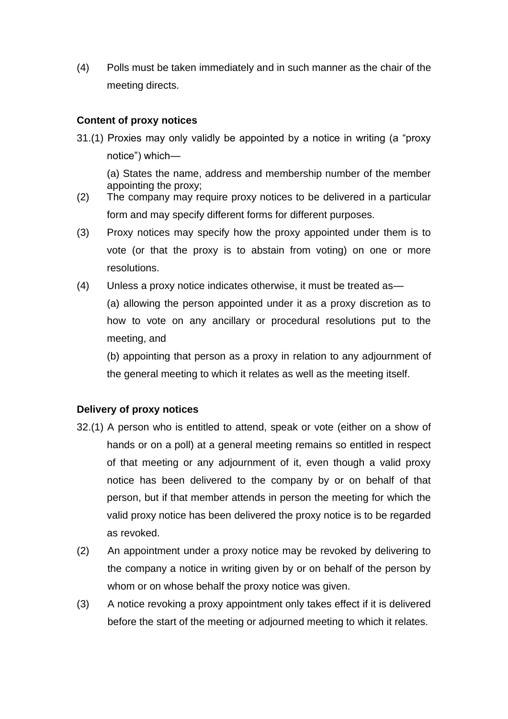(4) Polls must be taken immediately and in such manner as the chair of the meeting directs.

# **Content of proxy notices**

31.(1) Proxies may only validly be appointed by a notice in writing (a "proxy notice") which—

(a) States the name, address and membership number of the member appointing the proxy;

- (2) The company may require proxy notices to be delivered in a particular form and may specify different forms for different purposes.
- (3) Proxy notices may specify how the proxy appointed under them is to vote (or that the proxy is to abstain from voting) on one or more resolutions.
- (4) Unless a proxy notice indicates otherwise, it must be treated as—

(a) allowing the person appointed under it as a proxy discretion as to how to vote on any ancillary or procedural resolutions put to the meeting, and

(b) appointing that person as a proxy in relation to any adjournment of the general meeting to which it relates as well as the meeting itself.

# **Delivery of proxy notices**

- 32.(1) A person who is entitled to attend, speak or vote (either on a show of hands or on a poll) at a general meeting remains so entitled in respect of that meeting or any adjournment of it, even though a valid proxy notice has been delivered to the company by or on behalf of that person, but if that member attends in person the meeting for which the valid proxy notice has been delivered the proxy notice is to be regarded as revoked.
- (2) An appointment under a proxy notice may be revoked by delivering to the company a notice in writing given by or on behalf of the person by whom or on whose behalf the proxy notice was given.
- (3) A notice revoking a proxy appointment only takes effect if it is delivered before the start of the meeting or adjourned meeting to which it relates.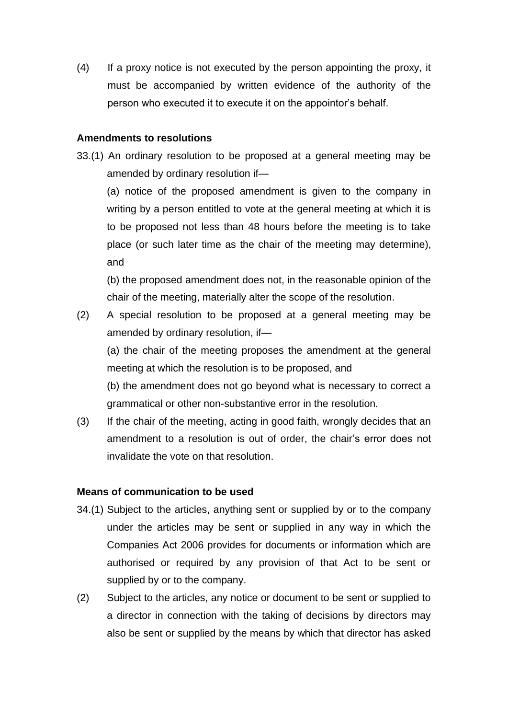(4) If a proxy notice is not executed by the person appointing the proxy, it must be accompanied by written evidence of the authority of the person who executed it to execute it on the appointor's behalf.

#### **Amendments to resolutions**

33.(1) An ordinary resolution to be proposed at a general meeting may be amended by ordinary resolution if—

(a) notice of the proposed amendment is given to the company in writing by a person entitled to vote at the general meeting at which it is to be proposed not less than 48 hours before the meeting is to take place (or such later time as the chair of the meeting may determine), and

(b) the proposed amendment does not, in the reasonable opinion of the chair of the meeting, materially alter the scope of the resolution.

(2) A special resolution to be proposed at a general meeting may be amended by ordinary resolution, if—

(a) the chair of the meeting proposes the amendment at the general meeting at which the resolution is to be proposed, and

(b) the amendment does not go beyond what is necessary to correct a grammatical or other non-substantive error in the resolution.

(3) If the chair of the meeting, acting in good faith, wrongly decides that an amendment to a resolution is out of order, the chair's error does not invalidate the vote on that resolution.

#### **Means of communication to be used**

- 34.(1) Subject to the articles, anything sent or supplied by or to the company under the articles may be sent or supplied in any way in which the Companies Act 2006 provides for documents or information which are authorised or required by any provision of that Act to be sent or supplied by or to the company.
- (2) Subject to the articles, any notice or document to be sent or supplied to a director in connection with the taking of decisions by directors may also be sent or supplied by the means by which that director has asked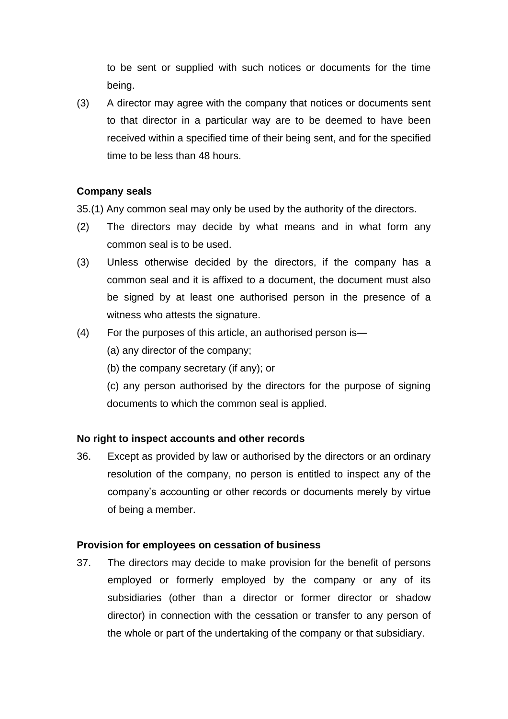to be sent or supplied with such notices or documents for the time being.

(3) A director may agree with the company that notices or documents sent to that director in a particular way are to be deemed to have been received within a specified time of their being sent, and for the specified time to be less than 48 hours.

#### **Company seals**

35.(1) Any common seal may only be used by the authority of the directors.

- (2) The directors may decide by what means and in what form any common seal is to be used.
- (3) Unless otherwise decided by the directors, if the company has a common seal and it is affixed to a document, the document must also be signed by at least one authorised person in the presence of a witness who attests the signature.
- (4) For the purposes of this article, an authorised person is—
	- (a) any director of the company;
	- (b) the company secretary (if any); or
	- (c) any person authorised by the directors for the purpose of signing documents to which the common seal is applied.

#### **No right to inspect accounts and other records**

36. Except as provided by law or authorised by the directors or an ordinary resolution of the company, no person is entitled to inspect any of the company's accounting or other records or documents merely by virtue of being a member.

#### **Provision for employees on cessation of business**

37. The directors may decide to make provision for the benefit of persons employed or formerly employed by the company or any of its subsidiaries (other than a director or former director or shadow director) in connection with the cessation or transfer to any person of the whole or part of the undertaking of the company or that subsidiary.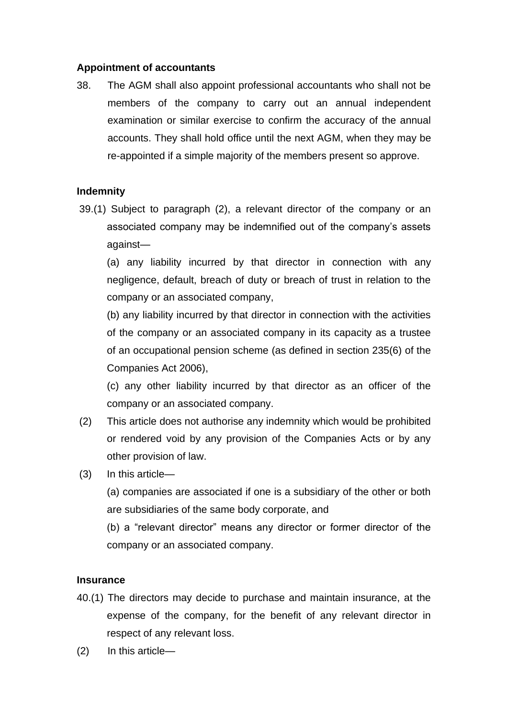# **Appointment of accountants**

38. The AGM shall also appoint professional accountants who shall not be members of the company to carry out an annual independent examination or similar exercise to confirm the accuracy of the annual accounts. They shall hold office until the next AGM, when they may be re-appointed if a simple majority of the members present so approve.

# **Indemnity**

39.(1) Subject to paragraph (2), a relevant director of the company or an associated company may be indemnified out of the company's assets against—

(a) any liability incurred by that director in connection with any negligence, default, breach of duty or breach of trust in relation to the company or an associated company,

(b) any liability incurred by that director in connection with the activities of the company or an associated company in its capacity as a trustee of an occupational pension scheme (as defined in section 235(6) of the Companies Act 2006),

(c) any other liability incurred by that director as an officer of the company or an associated company.

- (2) This article does not authorise any indemnity which would be prohibited or rendered void by any provision of the Companies Acts or by any other provision of law.
- (3) In this article—

(a) companies are associated if one is a subsidiary of the other or both are subsidiaries of the same body corporate, and

(b) a "relevant director" means any director or former director of the company or an associated company.

#### **Insurance**

- 40.(1) The directors may decide to purchase and maintain insurance, at the expense of the company, for the benefit of any relevant director in respect of any relevant loss.
- (2) In this article—